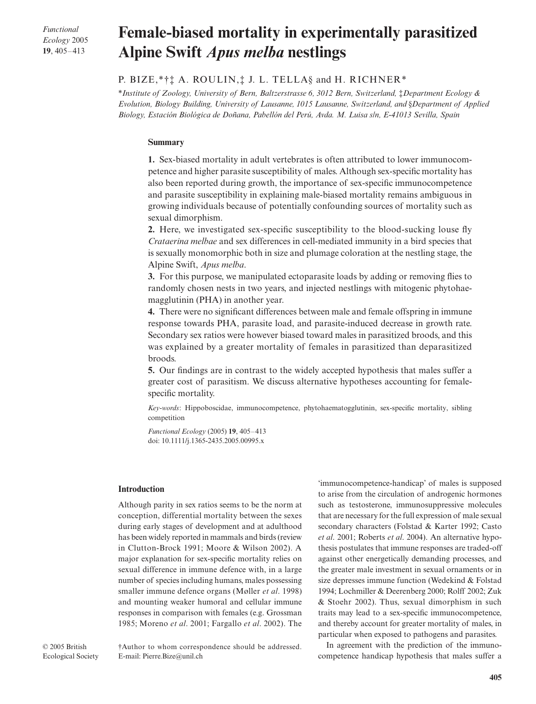*Functional Ecology* 2005 **19**, 405–413

# Female-biased mortality in experimentally parasitized **Alpine Swift** *Apus melba* **nestlings**

# P. BIZE,\*†‡ A. ROULIN,‡ J. L. TELLA§ and H. RICHNER\*

\**Institute of Zoology, University of Bern, Baltzerstrasse 6, 3012 Bern, Switzerland,* ‡*Department Ecology & Evolution, Biology Building, University of Lausanne, 1015 Lausanne, Switzerland, and* §*Department of Applied Biology, Estación Biológica de Doñana, Pabellón del Perú, Avda. M. Luisa s/n, E-41013 Sevilla, Spain* 

## **Summary**

**1.** Sex-biased mortality in adult vertebrates is often attributed to lower immunocompetence and higher parasite susceptibility of males. Although sex-specific mortality has also been reported during growth, the importance of sex-specific immunocompetence and parasite susceptibility in explaining male-biased mortality remains ambiguous in growing individuals because of potentially confounding sources of mortality such as sexual dimorphism.

**2.** Here, we investigated sex-specific susceptibility to the blood-sucking louse fly *Crataerina melbae* and sex differences in cell-mediated immunity in a bird species that is sexually monomorphic both in size and plumage coloration at the nestling stage, the Alpine Swift, *Apus melba*.

**3.** For this purpose, we manipulated ectoparasite loads by adding or removing flies to randomly chosen nests in two years, and injected nestlings with mitogenic phytohaemagglutinin (PHA) in another year.

**4.** There were no significant differences between male and female offspring in immune response towards PHA, parasite load, and parasite-induced decrease in growth rate. Secondary sex ratios were however biased toward males in parasitized broods, and this was explained by a greater mortality of females in parasitized than deparasitized broods.

**5.** Our findings are in contrast to the widely accepted hypothesis that males suffer a greater cost of parasitism. We discuss alternative hypotheses accounting for femalespecific mortality.

*Key-words*: Hippoboscidae, immunocompetence, phytohaematogglutinin, sex-specific mortality, sibling competition

*Functional Ecology* (2005) **19**, 405–413 doi: 10.1111/j.1365-2435.2005.00995.x

## **Introduction**

Although parity in sex ratios seems to be the norm at conception, differential mortality between the sexes during early stages of development and at adulthood has been widely reported in mammals and birds (review in Clutton-Brock 1991; Moore & Wilson 2002). A major explanation for sex-specific mortality relies on sexual difference in immune defence with, in a large number of species including humans, males possessing smaller immune defence organs (Møller *et al*. 1998) and mounting weaker humoral and cellular immune responses in comparison with females (e.g. Grossman 1985; Moreno *et al*. 2001; Fargallo *et al*. 2002). The 'immunocompetence-handicap' of males is supposed to arise from the circulation of androgenic hormones such as testosterone, immunosuppressive molecules that are necessary for the full expression of male sexual secondary characters (Folstad & Karter 1992; Casto *et al*. 2001; Roberts *et al*. 2004). An alternative hypothesis postulates that immune responses are traded-off against other energetically demanding processes, and the greater male investment in sexual ornaments or in size depresses immune function (Wedekind & Folstad 1994; Lochmiller & Deerenberg 2000; Rolff 2002; Zuk & Stoehr 2002). Thus, sexual dimorphism in such traits may lead to a sex-specific immunocompetence, and thereby account for greater mortality of males, in particular when exposed to pathogens and parasites.

In agreement with the prediction of the immunocompetence handicap hypothesis that males suffer a

†Author to whom correspondence should be addressed. E-mail: Pierre.Bize@unil.ch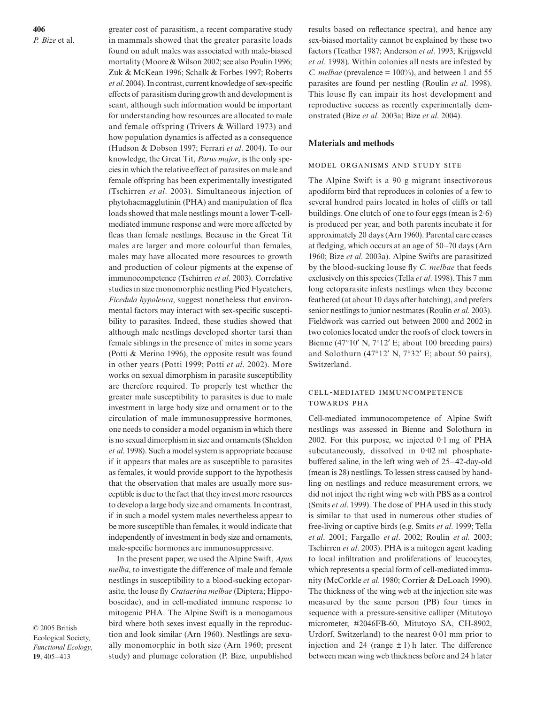**406** *P. Bize* et al.

greater cost of parasitism, a recent comparative study in mammals showed that the greater parasite loads found on adult males was associated with male-biased mortality (Moore & Wilson 2002; see also Poulin 1996; Zuk & McKean 1996; Schalk & Forbes 1997; Roberts *et al*. 2004). In contrast, current knowledge of sex-specific effects of parasitism during growth and development is scant, although such information would be important for understanding how resources are allocated to male and female offspring (Trivers & Willard 1973) and how population dynamics is affected as a consequence (Hudson & Dobson 1997; Ferrari *et al*. 2004). To our knowledge, the Great Tit, *Parus major*, is the only species in which the relative effect of parasites on male and female offspring has been experimentally investigated (Tschirren *et al*. 2003). Simultaneous injection of phytohaemagglutinin (PHA) and manipulation of flea loads showed that male nestlings mount a lower T-cellmediated immune response and were more affected by fleas than female nestlings. Because in the Great Tit males are larger and more colourful than females, males may have allocated more resources to growth and production of colour pigments at the expense of immunocompetence (Tschirren *et al*. 2003). Correlative studies in size monomorphic nestling Pied Flycatchers, *Ficedula hypoleuca*, suggest nonetheless that environmental factors may interact with sex-specific susceptibility to parasites. Indeed, these studies showed that although male nestlings developed shorter tarsi than female siblings in the presence of mites in some years (Potti & Merino 1996), the opposite result was found in other years (Potti 1999; Potti *et al*. 2002). More works on sexual dimorphism in parasite susceptibility are therefore required. To properly test whether the greater male susceptibility to parasites is due to male investment in large body size and ornament or to the circulation of male immunosuppressive hormones, one needs to consider a model organism in which there is no sexual dimorphism in size and ornaments (Sheldon *et al*. 1998). Such a model system is appropriate because if it appears that males are as susceptible to parasites as females, it would provide support to the hypothesis that the observation that males are usually more susceptible is due to the fact that they invest more resources to develop a large body size and ornaments. In contrast, if in such a model system males nevertheless appear to be more susceptible than females, it would indicate that independently of investment in body size and ornaments, male-specific hormones are immunosuppressive.

In the present paper, we used the Alpine Swift, *Apus melba*, to investigate the difference of male and female nestlings in susceptibility to a blood-sucking ectoparasite, the louse fly *Crataerina melbae* (Diptera; Hippoboscidae), and in cell-mediated immune response to mitogenic PHA. The Alpine Swift is a monogamous bird where both sexes invest equally in the reproduction and look similar (Arn 1960). Nestlings are sexually monomorphic in both size (Arn 1960; present study) and plumage coloration (P. Bize, unpublished

© 2005 British Ecological Society, *Functional Ecology*, **19**, 405–413

results based on reflectance spectra), and hence any sex-biased mortality cannot be explained by these two factors (Teather 1987; Anderson *et al*. 1993; Krijgsveld *et al*. 1998). Within colonies all nests are infested by *C. melbae* (prevalence  $= 100\%$ ), and between 1 and 55 parasites are found per nestling (Roulin *et al*. 1998). This louse fly can impair its host development and reproductive success as recently experimentally demonstrated (Bize *et al*. 2003a; Bize *et al*. 2004).

## **Materials and methods**

## MODEL ORGANISMS AND STUDY SITE

The Alpine Swift is a 90 g migrant insectivorous apodiform bird that reproduces in colonies of a few to several hundred pairs located in holes of cliffs or tall buildings. One clutch of one to four eggs (mean is  $2.6$ ) is produced per year, and both parents incubate it for approximately 20 days (Arn 1960). Parental care ceases at fledging, which occurs at an age of 50–70 days (Arn 1960; Bize *et al*. 2003a). Alpine Swifts are parasitized by the blood-sucking louse fly *C. melbae* that feeds exclusively on this species (Tella *et al*. 1998). This 7 mm long ectoparasite infests nestlings when they become feathered (at about 10 days after hatching), and prefers senior nestlings to junior nestmates (Roulin *et al*. 2003). Fieldwork was carried out between 2000 and 2002 in two colonies located under the roofs of clock towers in Bienne (47°10′ N, 7°12′ E; about 100 breeding pairs) and Solothurn (47°12′ N, 7°32′ E; about 50 pairs), Switzerland.

## CELL-MEDIATED IMMUNCOMPETENCE **TOWARDS PHA**

Cell-mediated immunocompetence of Alpine Swift nestlings was assessed in Bienne and Solothurn in 2002. For this purpose, we injected 0·1 mg of PHA subcutaneously, dissolved in 0·02 ml phosphatebuffered saline, in the left wing web of 25–42-day-old (mean is 28) nestlings. To lessen stress caused by handling on nestlings and reduce measurement errors, we did not inject the right wing web with PBS as a control (Smits *et al*. 1999). The dose of PHA used in this study is similar to that used in numerous other studies of free-living or captive birds (e.g. Smits *et al*. 1999; Tella *et al*. 2001; Fargallo *et al*. 2002; Roulin *et al*. 2003; Tschirren *et al*. 2003). PHA is a mitogen agent leading to local infiltration and proliferations of leucocytes, which represents a special form of cell-mediated immunity (McCorkle *et al*. 1980; Corrier & DeLoach 1990). The thickness of the wing web at the injection site was measured by the same person (PB) four times in sequence with a pressure-sensitive calliper (Mitutoyo micrometer, #2046FB-60, Mitutoyo SA, CH-8902, Urdorf, Switzerland) to the nearest 0·01 mm prior to injection and 24 (range  $\pm$  1) h later. The difference between mean wing web thickness before and 24 h later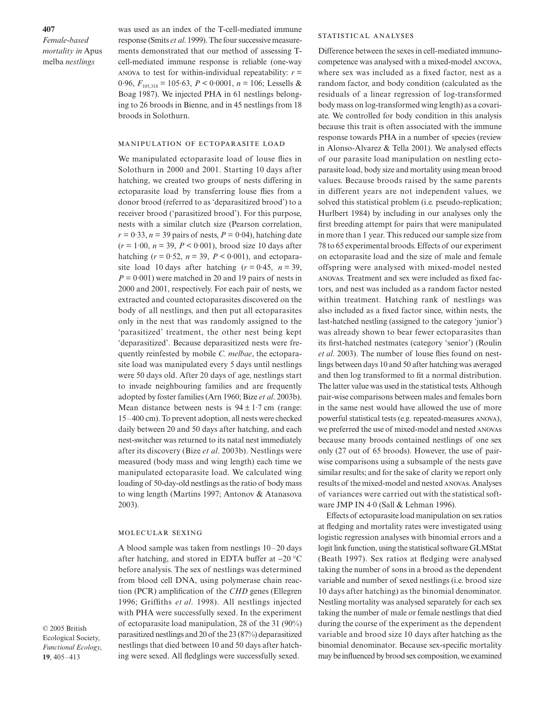**407**

*Female-based mortality in* Apus melba *nestlings*

was used as an index of the T-cell-mediated immune response (Smits *et al*. 1999). The four successive measurements demonstrated that our method of assessing Tcell-mediated immune response is reliable (one-way ANOVA to test for within-individual repeatability:  $r =$ 0.96,  $F_{105,318} = 105.63$ ,  $P < 0.0001$ ,  $n = 106$ ; Lessells & Boag 1987). We injected PHA in 61 nestlings belonging to 26 broods in Bienne, and in 45 nestlings from 18 broods in Solothurn.

## MANIPULATION OF ECTOPARASITE LOAD

We manipulated ectoparasite load of louse flies in Solothurn in 2000 and 2001. Starting 10 days after hatching, we created two groups of nests differing in ectoparasite load by transferring louse flies from a donor brood (referred to as 'deparasitized brood') to a receiver brood ('parasitized brood'). For this purpose, nests with a similar clutch size (Pearson correlation,  $r = 0.33$ ,  $n = 39$  pairs of nests,  $P = 0.04$ ), hatching date (*r =* 1·00, *n* = 39, *P* < 0·001), brood size 10 days after hatching  $(r = 0.52, n = 39, P < 0.001)$ , and ectoparasite load 10 days after hatching  $(r = 0.45, n = 39,$  $P = 0.001$ ) were matched in 20 and 19 pairs of nests in 2000 and 2001, respectively. For each pair of nests, we extracted and counted ectoparasites discovered on the body of all nestlings, and then put all ectoparasites only in the nest that was randomly assigned to the 'parasitized' treatment, the other nest being kept 'deparasitized'. Because deparasitized nests were frequently reinfested by mobile *C. melbae*, the ectoparasite load was manipulated every 5 days until nestlings were 50 days old. After 20 days of age, nestlings start to invade neighbouring families and are frequently adopted by foster families (Arn 1960; Bize *et al*. 2003b). Mean distance between nests is  $94 \pm 1.7$  cm (range: 15–400 cm). To prevent adoption, all nests were checked daily between 20 and 50 days after hatching, and each nest-switcher was returned to its natal nest immediately after its discovery (Bize *et al*. 2003b). Nestlings were measured (body mass and wing length) each time we manipulated ectoparasite load. We calculated wing loading of 50-day-old nestlings as the ratio of body mass to wing length (Martins 1997; Antonov & Atanasova 2003).

#### MOLECULAR SEXING

A blood sample was taken from nestlings 10–20 days after hatching, and stored in EDTA buffer at −20 °C before analysis. The sex of nestlings was determined from blood cell DNA, using polymerase chain reaction (PCR) amplification of the *CHD* genes (Ellegren 1996; Griffiths *et al*. 1998). All nestlings injected with PHA were successfully sexed. In the experiment of ectoparasite load manipulation, 28 of the 31 (90%) parasitized nestlings and 20 of the 23 (87%) deparasitized nestlings that died between 10 and 50 days after hatching were sexed. All fledglings were successfully sexed.

© 2005 British Ecological Society, *Functional Ecology*, **19**, 405–413

#### STATISTICAL ANALYSES

Difference between the sexes in cell-mediated immunocompetence was analysed with a mixed-model ANCOVA, where sex was included as a fixed factor, nest as a random factor, and body condition (calculated as the residuals of a linear regression of log-transformed body mass on log-transformed wing length) as a covariate. We controlled for body condition in this analysis because this trait is often associated with the immune response towards PHA in a number of species (review in Alonso-Alvarez & Tella 2001). We analysed effects of our parasite load manipulation on nestling ectoparasite load, body size and mortality using mean brood values. Because broods raised by the same parents in different years are not independent values, we solved this statistical problem (i.e. pseudo-replication; Hurlbert 1984) by including in our analyses only the first breeding attempt for pairs that were manipulated in more than 1 year. This reduced our sample size from 78 to 65 experimental broods. Effects of our experiment on ectoparasite load and the size of male and female offspring were analysed with mixed-model nested s. Treatment and sex were included as fixed factors, and nest was included as a random factor nested within treatment. Hatching rank of nestlings was also included as a fixed factor since, within nests, the last-hatched nestling (assigned to the category 'junior') was already shown to bear fewer ectoparasites than its first-hatched nestmates (category 'senior') (Roulin *et al*. 2003). The number of louse flies found on nestlings between days 10 and 50 after hatching was averaged and then log transformed to fit a normal distribution. The latter value was used in the statistical tests. Although pair-wise comparisons between males and females born in the same nest would have allowed the use of more powerful statistical tests (e.g. repeated-measures ANOVA), we preferred the use of mixed-model and nested ANOVAS because many broods contained nestlings of one sex only (27 out of 65 broods). However, the use of pairwise comparisons using a subsample of the nests gave similar results; and for the sake of clarity we report only results of the mixed-model and nested ANOVAS. Analyses of variances were carried out with the statistical software JMP IN 4.0 (Sall & Lehman 1996).

Effects of ectoparasite load manipulation on sex ratios at fledging and mortality rates were investigated using logistic regression analyses with binomial errors and a logit link function, using the statistical software GLMStat (Beath 1997). Sex ratios at fledging were analysed taking the number of sons in a brood as the dependent variable and number of sexed nestlings (i.e. brood size 10 days after hatching) as the binomial denominator. Nestling mortality was analysed separately for each sex taking the number of male or female nestlings that died during the course of the experiment as the dependent variable and brood size 10 days after hatching as the binomial denominator. Because sex-specific mortality may be influenced by brood sex composition, we examined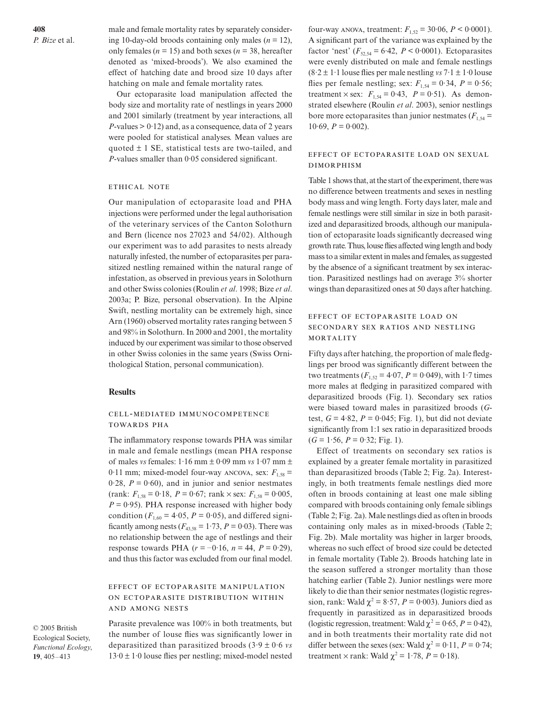male and female mortality rates by separately considering 10-day-old broods containing only males  $(n = 12)$ , only females ( $n = 15$ ) and both sexes ( $n = 38$ , hereafter denoted as 'mixed-broods'). We also examined the effect of hatching date and brood size 10 days after hatching on male and female mortality rates.

Our ectoparasite load manipulation affected the body size and mortality rate of nestlings in years 2000 and 2001 similarly (treatment by year interactions, all  $P$ -values  $> 0.12$ ) and, as a consequence, data of 2 years were pooled for statistical analyses. Mean values are quoted  $\pm$  1 SE, statistical tests are two-tailed, and *P*-values smaller than 0·05 considered significant.

### ETHICAL NOTE

Our manipulation of ectoparasite load and PHA injections were performed under the legal authorisation of the veterinary services of the Canton Solothurn and Bern (licence nos 27023 and 54/02). Although our experiment was to add parasites to nests already naturally infested, the number of ectoparasites per parasitized nestling remained within the natural range of infestation, as observed in previous years in Solothurn and other Swiss colonies (Roulin *et al*. 1998; Bize *et al*. 2003a; P. Bize, personal observation). In the Alpine Swift, nestling mortality can be extremely high, since Arn (1960) observed mortality rates ranging between 5 and 98% in Solothurn. In 2000 and 2001, the mortality induced by our experiment was similar to those observed in other Swiss colonies in the same years (Swiss Ornithological Station, personal communication).

## **Results**

## CELL-MEDIATED IMMUNOCOMPETENCE **TOWARDS PHA**

The inflammatory response towards PHA was similar in male and female nestlings (mean PHA response of males *vs* females: 1·16 mm ± 0·09 mm *vs* 1·07 mm ± 0.11 mm; mixed-model four-way ANCOVA, sex:  $F_{1.58}$  = 0.28,  $P = 0.60$ ), and in junior and senior nestmates  $(rank: F<sub>1.58</sub> = 0.18, P = 0.67; rank \times sex: F<sub>1.58</sub> = 0.005,$  $P = 0.95$ ). PHA response increased with higher body condition ( $F_{1,60}$  = 4.05,  $P = 0.05$ ), and differed significantly among nests  $(F_{43,58} = 1.73, P = 0.03)$ . There was no relationship between the age of nestlings and their response towards PHA  $(r = -0.16, n = 44, P = 0.29)$ , and thus this factor was excluded from our final model.

## EFFECT OF ECTOPARASITE MANIPULATION ON ECTOPARASITE DISTRIBUTION WITHIN AND AMONG NESTS

© 2005 British Ecological Society, *Functional Ecology*, **19**, 405–413

Parasite prevalence was 100% in both treatments, but the number of louse flies was significantly lower in deparasitized than parasitized broods (3·9 ± 0·6 *vs*  $13.0 \pm 1.0$  louse flies per nestling; mixed-model nested

four-way ANOVA, treatment:  $F_{1,52} = 30.06$ ,  $P < 0.0001$ ). A significant part of the variance was explained by the factor 'nest'  $(F_{52,54} = 6.42, P < 0.0001)$ . Ectoparasites were evenly distributed on male and female nestlings  $(8.2 \pm 1.1)$  louse flies per male nestling *vs*  $7.1 \pm 1.0$  louse flies per female nestling; sex:  $F_{1,54} = 0.34$ ,  $P = 0.56$ ; treatment  $\times$  sex:  $F_{1,54} = 0.43$ ,  $P = 0.51$ ). As demonstrated elsewhere (Roulin *et al*. 2003), senior nestlings bore more ectoparasites than junior nestmates  $(F_{1,54} =$  $10.69, P = 0.002$ .

## EFFECT OF ECTOPARASITE LOAD ON SEXUAL **DIMORPHISM**

Table 1 shows that, at the start of the experiment, there was no difference between treatments and sexes in nestling body mass and wing length. Forty days later, male and female nestlings were still similar in size in both parasitized and deparasitized broods, although our manipulation of ectoparasite loads significantly decreased wing growth rate. Thus, louse flies affected wing length and body mass to a similar extent in males and females, as suggested by the absence of a significant treatment by sex interaction. Parasitized nestlings had on average 3% shorter wings than deparasitized ones at 50 days after hatching.

## EFFECT OF ECTOPARASITE LOAD ON SECONDARY SEX RATIOS AND NESTLING MORTALITY

Fifty days after hatching, the proportion of male fledglings per brood was significantly different between the two treatments ( $F_{1,52} = 4.07$ ,  $P = 0.049$ ), with 1.7 times more males at fledging in parasitized compared with deparasitized broods (Fig. 1). Secondary sex ratios were biased toward males in parasitized broods (*G*test,  $G = 4.82$ ,  $P = 0.045$ ; Fig. 1), but did not deviate significantly from 1:1 sex ratio in deparasitized broods  $(G = 1.56, P = 0.32; Fig. 1).$ 

Effect of treatments on secondary sex ratios is explained by a greater female mortality in parasitized than deparasitized broods (Table 2; Fig. 2a). Interestingly, in both treatments female nestlings died more often in broods containing at least one male sibling compared with broods containing only female siblings (Table 2; Fig. 2a). Male nestlings died as often in broods containing only males as in mixed-broods (Table 2; Fig. 2b). Male mortality was higher in larger broods, whereas no such effect of brood size could be detected in female mortality (Table 2). Broods hatching late in the season suffered a stronger mortality than those hatching earlier (Table 2). Junior nestlings were more likely to die than their senior nestmates (logistic regression, rank: Wald  $\chi^2 = 8.57$ ,  $P = 0.003$ ). Juniors died as frequently in parasitized as in deparasitized broods (logistic regression, treatment: Wald  $\chi^2 = 0.65$ ,  $P = 0.42$ ), and in both treatments their mortality rate did not differ between the sexes (sex: Wald  $\chi^2 = 0.11$ ,  $P = 0.74$ ; treatment  $\times$  rank: Wald  $\chi^2 = 1.78$ ,  $P = 0.18$ ).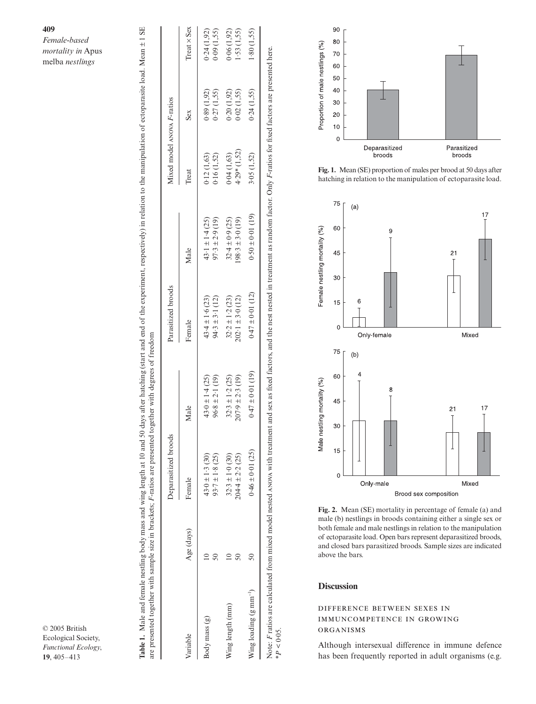# **409**

*Female-based mortality in*  Apus melba *nestlings*

|                                    |            | Deparasitized broods                        |                                             | Parasitized broods                          |                                             | Mixed model ANOVA F-ratios  |                          |                          |
|------------------------------------|------------|---------------------------------------------|---------------------------------------------|---------------------------------------------|---------------------------------------------|-----------------------------|--------------------------|--------------------------|
| Variable                           | Age (days) | Female                                      | Male                                        | Female                                      | Male                                        | Treat                       | Sex                      | Treat $\times$ Sex       |
| Body mass (g)                      |            | $43.0 \pm 1.3$ (30)<br>$93.7 \pm 1.8$ (25)  | $43.0 \pm 1.4$ (25)<br>$96.8 \pm 2.1(19)$   | $94.3 \pm 3.1$ (12)<br>$43.4 \pm 1.6(23)$   | $43.1 \pm 1.4$ (25)<br>$97.3 \pm 2.9$ (19)  | 0.16(1,52)<br>0.12(1,63)    | (1.92)<br>0.27(1,55)     | 0.24(1.92)<br>0.09(1,55) |
| Wing length (mm)                   |            | $32.3 \pm 1.0$ (30)<br>$204.4 \pm 2.2$ (25) | $32.3 \pm 1.2$ (25)<br>$207.9 \pm 2.3$ (19) | $32.2 \pm 1.2$ (23)<br>$202.1 \pm 3.0$ (12) | $32.4 \pm 0.9$ (25)<br>$198.3 \pm 3.0$ (19) | $4.29*(1,52)$<br>0.04(1.63) | 0.20(1,92)<br>0.02(1,55) | 0.06(1.92)<br>1.53(1,55) |
| Wing loading $(g \text{ mm}^{-1})$ |            | $0.46 \pm 0.01$ (25)                        | $0.47 \pm 0.01$ (19)                        | $0.47 \pm 0.01$ (12)                        | $0.50 \pm 0.01$ (19)                        | 3.05(1,52)                  | 0.24(1,55)               | 1.80(1.55)               |

© 2005 British Ecological Society, *Functional Ecology*, **19**, 405–413



**Fig. 1.** Mean (SE) proportion of males per brood at 50 days after hatching in relation to the manipulation of ectoparasite load.



**Fig. 2.** Mean (SE) mortality in percentage of female (a) and male (b) nestlings in broods containing either a single sex or both female and male nestlings in relation to the manipulation of ectoparasite load. Open bars represent deparasitized broods, and closed bars parasitized broods. Sample sizes are indicated above the bars.

## **Discussion**

\**P <* 0·05.

 $*P < 0.05$ .

## DIFFERENCE BETWEEN SEXES IN IMMUNCOMPETENCE IN GROWING ORGANISMS

Although intersexual difference in immune defence has been frequently reported in adult organisms (e.g.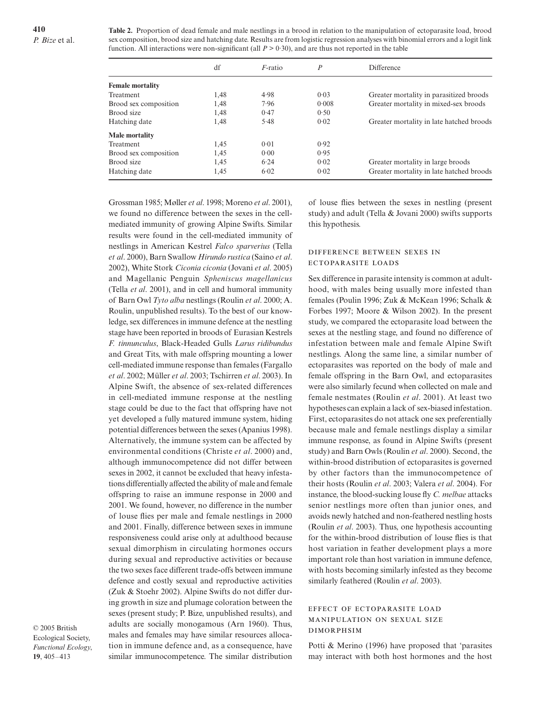**Table 2.** Proportion of dead female and male nestlings in a brood in relation to the manipulation of ectoparasite load, brood sex composition, brood size and hatching date. Results are from logistic regression analyses with binomial errors and a logit link function. All interactions were non-significant (all  $P > 0.30$ ), and are thus not reported in the table

|                         | df   | <i>F</i> -ratio | $\boldsymbol{P}$ | Difference                               |
|-------------------------|------|-----------------|------------------|------------------------------------------|
| <b>Female mortality</b> |      |                 |                  |                                          |
| Treatment               | 1,48 | 4.98            | 0.03             | Greater mortality in parasitized broods  |
| Brood sex composition   | 1,48 | 7.96            | 0.008            | Greater mortality in mixed-sex broods    |
| Brood size              | 1,48 | 0.47            | 0.50             |                                          |
| Hatching date           | 1,48 | 5.48            | 0.02             | Greater mortality in late hatched broods |
| Male mortality          |      |                 |                  |                                          |
| Treatment               | 1.45 | 0.01            | 0.92             |                                          |
| Brood sex composition   | 1,45 | 0.00            | 0.95             |                                          |
| Brood size              | 1,45 | 6.24            | 0.02             | Greater mortality in large broods        |
| Hatching date           | 1,45 | 6.02            | 0.02             | Greater mortality in late hatched broods |

Grossman 1985; Møller *et al*. 1998; Moreno *et al*. 2001), we found no difference between the sexes in the cellmediated immunity of growing Alpine Swifts. Similar results were found in the cell-mediated immunity of nestlings in American Kestrel *Falco sparverius* (Tella *et al*. 2000), Barn Swallow *Hirundo rustica* (Saino *et al*. 2002), White Stork *Ciconia ciconia* (Jovani *et al*. 2005) and Magellanic Penguin *Spheniscus magellanicus* (Tella *et al*. 2001), and in cell and humoral immunity of Barn Owl *Tyto alba* nestlings (Roulin *et al*. 2000; A. Roulin, unpublished results). To the best of our knowledge, sex differences in immune defence at the nestling stage have been reported in broods of Eurasian Kestrels *F. tinnunculus*, Black-Headed Gulls *Larus ridibundus* and Great Tits, with male offspring mounting a lower cell-mediated immune response than females (Fargallo *et al*. 2002; Müller *et al*. 2003; Tschirren *et al*. 2003). In Alpine Swift, the absence of sex-related differences in cell-mediated immune response at the nestling stage could be due to the fact that offspring have not yet developed a fully matured immune system, hiding potential differences between the sexes (Apanius 1998). Alternatively, the immune system can be affected by environmental conditions (Christe *et al*. 2000) and, although immunocompetence did not differ between sexes in 2002, it cannot be excluded that heavy infestations differentially affected the ability of male and female offspring to raise an immune response in 2000 and 2001. We found, however, no difference in the number of louse flies per male and female nestlings in 2000 and 2001. Finally, difference between sexes in immune responsiveness could arise only at adulthood because sexual dimorphism in circulating hormones occurs during sexual and reproductive activities or because the two sexes face different trade-offs between immune defence and costly sexual and reproductive activities (Zuk & Stoehr 2002). Alpine Swifts do not differ during growth in size and plumage coloration between the sexes (present study; P. Bize, unpublished results), and adults are socially monogamous (Arn 1960). Thus, males and females may have similar resources allocation in immune defence and, as a consequence, have similar immunocompetence. The similar distribution

© 2005 British Ecological Society, *Functional Ecology*, **19**, 405–413

of louse flies between the sexes in nestling (present study) and adult (Tella & Jovani 2000) swifts supports this hypothesis.

## DIFFERENCE BETWEEN SEXES IN ECTOPARASITE LOADS

Sex difference in parasite intensity is common at adulthood, with males being usually more infested than females (Poulin 1996; Zuk & McKean 1996; Schalk & Forbes 1997; Moore & Wilson 2002). In the present study, we compared the ectoparasite load between the sexes at the nestling stage, and found no difference of infestation between male and female Alpine Swift nestlings. Along the same line, a similar number of ectoparasites was reported on the body of male and female offspring in the Barn Owl, and ectoparasites were also similarly fecund when collected on male and female nestmates (Roulin *et al*. 2001). At least two hypotheses can explain a lack of sex-biased infestation. First, ectoparasites do not attack one sex preferentially because male and female nestlings display a similar immune response, as found in Alpine Swifts (present study) and Barn Owls (Roulin *et al*. 2000). Second, the within-brood distribution of ectoparasites is governed by other factors than the immunocompetence of their hosts (Roulin *et al*. 2003; Valera *et al*. 2004). For instance, the blood-sucking louse fly *C. melbae* attacks senior nestlings more often than junior ones, and avoids newly hatched and non-feathered nestling hosts (Roulin *et al*. 2003). Thus, one hypothesis accounting for the within-brood distribution of louse flies is that host variation in feather development plays a more important role than host variation in immune defence, with hosts becoming similarly infested as they become similarly feathered (Roulin *et al*. 2003).

## EFFECT OF ECTOPARASITE LOAD MANIPULATION ON SEXUAL SIZE **DIMORPHSIM**

Potti & Merino (1996) have proposed that 'parasites may interact with both host hormones and the host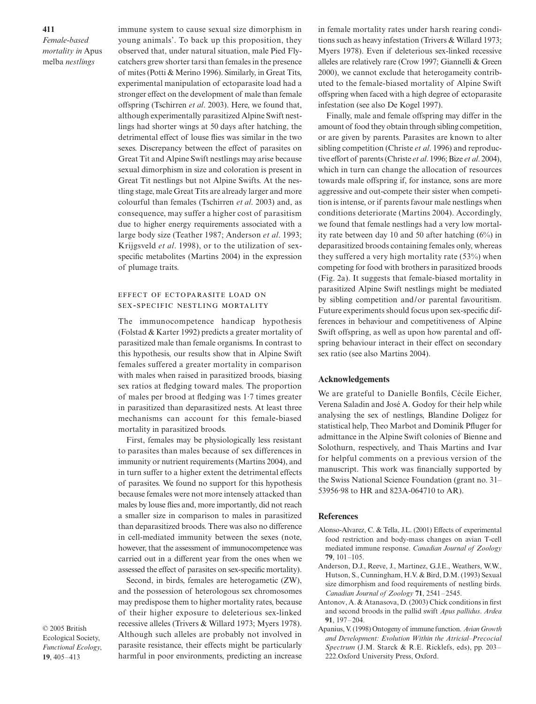*Female-based mortality in* Apus melba *nestlings*

immune system to cause sexual size dimorphism in young animals'. To back up this proposition, they observed that, under natural situation, male Pied Flycatchers grew shorter tarsi than females in the presence of mites (Potti & Merino 1996). Similarly, in Great Tits, experimental manipulation of ectoparasite load had a stronger effect on the development of male than female offspring (Tschirren *et al*. 2003). Here, we found that, although experimentally parasitized Alpine Swift nestlings had shorter wings at 50 days after hatching, the detrimental effect of louse flies was similar in the two sexes. Discrepancy between the effect of parasites on Great Tit and Alpine Swift nestlings may arise because sexual dimorphism in size and coloration is present in Great Tit nestlings but not Alpine Swifts. At the nestling stage, male Great Tits are already larger and more colourful than females (Tschirren *et al*. 2003) and, as consequence, may suffer a higher cost of parasitism due to higher energy requirements associated with a large body size (Teather 1987; Anderson *et al*. 1993; Krijgsveld *et al*. 1998), or to the utilization of sexspecific metabolites (Martins 2004) in the expression of plumage traits.

## EFFECT OF ECTOPARASITE LOAD ON SEX-SPECIFIC NESTLING MORTALITY

The immunocompetence handicap hypothesis (Folstad & Karter 1992) predicts a greater mortality of parasitized male than female organisms. In contrast to this hypothesis, our results show that in Alpine Swift females suffered a greater mortality in comparison with males when raised in parasitized broods, biasing sex ratios at fledging toward males. The proportion of males per brood at fledging was 1·7 times greater in parasitized than deparasitized nests. At least three mechanisms can account for this female-biased mortality in parasitized broods.

First, females may be physiologically less resistant to parasites than males because of sex differences in immunity or nutrient requirements (Martins 2004), and in turn suffer to a higher extent the detrimental effects of parasites. We found no support for this hypothesis because females were not more intensely attacked than males by louse flies and, more importantly, did not reach a smaller size in comparison to males in parasitized than deparasitized broods. There was also no difference in cell-mediated immunity between the sexes (note, however, that the assessment of immunocompetence was carried out in a different year from the ones when we assessed the effect of parasites on sex-specific mortality).

Second, in birds, females are heterogametic (ZW), and the possession of heterologous sex chromosomes may predispose them to higher mortality rates, because of their higher exposure to deleterious sex-linked recessive alleles (Trivers & Willard 1973; Myers 1978). Although such alleles are probably not involved in parasite resistance, their effects might be particularly harmful in poor environments, predicting an increase

© 2005 British Ecological Society, *Functional Ecology*, **19**, 405–413

in female mortality rates under harsh rearing conditions such as heavy infestation (Trivers & Willard 1973; Myers 1978). Even if deleterious sex-linked recessive alleles are relatively rare (Crow 1997; Giannelli & Green 2000), we cannot exclude that heterogameity contributed to the female-biased mortality of Alpine Swift offspring when faced with a high degree of ectoparasite infestation (see also De Kogel 1997).

Finally, male and female offspring may differ in the amount of food they obtain through sibling competition, or are given by parents. Parasites are known to alter sibling competition (Christe *et al*. 1996) and reproductive effort of parents (Christe *et al*. 1996; Bize *et al*. 2004), which in turn can change the allocation of resources towards male offspring if, for instance, sons are more aggressive and out-compete their sister when competition is intense, or if parents favour male nestlings when conditions deteriorate (Martins 2004). Accordingly, we found that female nestlings had a very low mortality rate between day 10 and 50 after hatching (6%) in deparasitized broods containing females only, whereas they suffered a very high mortality rate (53%) when competing for food with brothers in parasitized broods (Fig. 2a). It suggests that female-biased mortality in parasitized Alpine Swift nestlings might be mediated by sibling competition and/or parental favouritism. Future experiments should focus upon sex-specific differences in behaviour and competitiveness of Alpine Swift offspring, as well as upon how parental and offspring behaviour interact in their effect on secondary sex ratio (see also Martins 2004).

#### **Acknowledgements**

We are grateful to Danielle Bonfils, Cécile Eicher, Verena Saladin and José A. Godoy for their help while analysing the sex of nestlings, Blandine Doligez for statistical help, Theo Marbot and Dominik Pfluger for admittance in the Alpine Swift colonies of Bienne and Solothurn, respectively, and Thais Martins and Ivar for helpful comments on a previous version of the manuscript. This work was financially supported by the Swiss National Science Foundation (grant no. 31– 53956·98 to HR and 823A-064710 to AR).

## **References**

- Alonso-Alvarez, C. & Tella, J.L. (2001) Effects of experimental food restriction and body-mass changes on avian T-cell mediated immune response. *Canadian Journal of Zoology* **79**, 101–105.
- Anderson, D.J., Reeve, J., Martinez, G.J.E., Weathers, W.W., Hutson, S., Cunningham, H.V. & Bird, D.M. (1993) Sexual size dimorphism and food requirements of nestling birds. *Canadian Journal of Zoology* **71**, 2541–2545.
- Antonov, A. & Atanasova, D. (2003) Chick conditions in first and second broods in the pallid swift *Apus pallidus*. *Ardea* **91**, 197–204.
- Apanius, V. (1998) Ontogeny of immune function. *Avian Growth and Development: Evolution Within the Atricial–Precocial Spectrum* (J.M. Starck & R.E. Ricklefs, eds), pp. 203– 222.Oxford University Press, Oxford.

**411**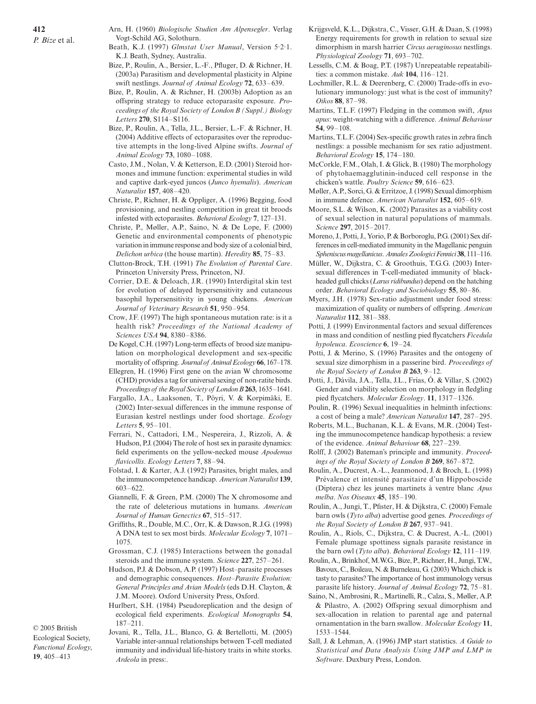- Beath, K.J. (1997) *Glmstat User Manual*, Version 5·2·1. K.J. Beath, Sydney, Australia.
- Bize, P., Roulin, A., Bersier, L.-F., Pfluger, D. & Richner, H. (2003a) Parasitism and developmental plasticity in Alpine swift nestlings. *Journal of Animal Ecology* **72**, 633–639.
- Bize, P., Roulin, A. & Richner, H. (2003b) Adoption as an offspring strategy to reduce ectoparasite exposure. *Proceedings of the Royal Society of London B (Suppl*.*) Biology Letters* **270**, S114–S116.
- Bize, P., Roulin, A., Tella, J.L., Bersier, L.-F. & Richner, H. (2004) Additive effects of ectoparasites over the reproductive attempts in the long-lived Alpine swifts. *Journal of Animal Ecology* **73**, 1080–1088.
- Casto, J.M., Nolan, V. & Ketterson, E.D. (2001) Steroid hormones and immune function: experimental studies in wild and captive dark-eyed juncos (*Junco hyemalis*). *American Naturalist* **157**, 408–420.
- Christe, P., Richner, H. & Oppliger, A. (1996) Begging, food provisioning, and nestling competition in great tit broods infested with ectoparasites. *Behavioral Ecology* **7**, 127–131.
- Christe, P., Møller, A.P., Saino, N. & De Lope, F. (2000) Genetic and environmental components of phenotypic variation in immune response and body size of a colonial bird, *Delichon urbica* (the house martin). *Heredity* **85**, 75–83.
- Clutton-Brock, T.H. (1991) *The Evolution of Parental Care*. Princeton University Press, Princeton, NJ.
- Corrier, D.E. & Deloach, J.R. (1990) Interdigital skin test for evolution of delayed hypersensitivity and cutaneous basophil hypersensitivity in young chickens. *American Journal of Veterinary Research* **51**, 950–954.
- Crow, J.F. (1997) The high spontaneous mutation rate: is it a health risk? *Proceedings of the National Academy of Sciences USA* **94**, 8380–8386.
- De Kogel, C.H. (1997) Long-term effects of brood size manipulation on morphological development and sex-specific mortality of offspring. *Journal of Animal Ecology* **66**, 167–178.
- Ellegren, H. (1996) First gene on the avian W chromosome (CHD) provides a tag for universal sexing of non-ratite birds. *Proceedings of the Royal Society of London B***263**, 1635–1641.
- Fargallo, J.A., Laaksonen, T., Pöyri, V. & Korpimäki, E. (2002) Inter-sexual differences in the immune response of Eurasian kestrel nestlings under food shortage. *Ecology Letters* **5**, 95–101.
- Ferrari, N., Cattadori, I.M., Nespereira, J., Rizzoli, A. & Hudson, P.J. (2004) The role of host sex in parasite dynamics: field experiments on the yellow-necked mouse *Apodemus flavicollis*. *Ecology Letters* **7**, 88–94.
- Folstad, I. & Karter, A.J. (1992) Parasites, bright males, and the immunocompetence handicap. *American Naturalist* **139**, 603–622.
- Giannelli, F. & Green, P.M. (2000) The X chromosome and the rate of deleterious mutations in humans. *American Journal of Human Genectics* **67**, 515–517.
- Griffiths, R., Double, M.C., Orr, K. & Dawson, R.J.G. (1998) A DNA test to sex most birds. *Molecular Ecology* **7**, 1071– 1075.
- Grossman, C.J. (1985) Interactions between the gonadal steroids and the immune system. *Science* **227**, 257–261.
- Hudson, P.J. & Dobson, A.P. (1997) Host–parasite processes and demographic consequences. *Host–Parasite Evolution: General Principles and Avian Models* (eds D.H. Clayton, & J.M. Moore). Oxford University Press, Oxford.
- Hurlbert, S.H. (1984) Pseudoreplication and the design of ecological field experiments. *Ecological Monographs* **54**, 187–211.

© 2005 British Ecological Society, *Functional Ecology*, **19**, 405–413

Jovani, R., Tella, J.L., Blanco, G. & Bertellotti, M. (2005) Variable inter-annual relationships between T-cell mediated immunity and individual life-history traits in white storks. *Ardeola* in press:.

- Krijgsveld, K.L., Dijkstra, C., Visser, G.H. & Daan, S. (1998) Energy requirements for growth in relation to sexual size dimorphism in marsh harrier *Circus aeruginosus* nestlings. *Physiological Zoology* **71**, 693–702.
- Lessells, C.M. & Boag, P.T. (1987) Unrepeatable repeatabilities: a common mistake. *Auk* **104**, 116–121.
- Lochmiller, R.L. & Deerenberg, C. (2000) Trade-offs in evolutionary immunology: just what is the cost of immunity? *Oikos* **88**, 87–98.
- Martins, T.L.F. (1997) Fledging in the common swift, *Apus apus*: weight-watching with a difference. *Animal Behaviour* **54**, 99–108.
- Martins, T.L.F. (2004) Sex-specific growth rates in zebra finch nestlings: a possible mechanism for sex ratio adjustment. *Behavioral Ecology* **15**, 174–180.
- McCorkle, F.M., Olah, I. & Glick, B. (1980) The morphology of phytohaemagglutinin-induced cell response in the chicken's wattle. *Poultry Science* **59**, 616–623.
- Møller, A.P., Sorci, G. & Erritzoe, J. (1998) Sexual dimorphism in immune defence. *American Naturalist* **152**, 605–619.
- Moore, S.L. & Wilson, K. (2002) Parasites as a viability cost of sexual selection in natural populations of mammals. *Science* **297**, 2015–2017.
- Moreno, J., Potti, J., Yorio, P. & Borboroglu, P.G. (2001) Sex differences in cell-mediated immunity in the Magellanic penguin *Spheniscus magellanicus*. *Annales Zoologici Fennici* **38**, 111–116.
- Müller, W., Dijkstra, C. & Groothuis, T.G.G. (2003) Intersexual differences in T-cell-mediated immunity of blackheaded gull chicks (*Larus ridibundus*) depend on the hatching order. *Behavioral Ecology and Sociobiology* **55**, 80–86.
- Myers, J.H. (1978) Sex-ratio adjustment under food stress: maximization of quality or numbers of offspring. *American Naturalist* **112**, 381–388.
- Potti, J. (1999) Environmental factors and sexual differences in mass and condition of nestling pied flycatchers *Ficedula hypoleuca*. *Ecoscience* **6**, 19–24.
- Potti, J. & Merino, S. (1996) Parasites and the ontogeny of sexual size dimorphism in a passerine bird. *Proceedings of the Royal Society of London B* **263**, 9–12.
- Potti, J., Dávila, J.A., Tella, J.L., Frías, Ó. & Villar, S. (2002) Gender and viability selection on morphology in fledgling pied flycatchers. *Molecular Ecology*. **11**, 1317–1326.
- Poulin, R. (1996) Sexual inequalities in helminth infections: a cost of being a male? *American Naturalist* **147**, 287–295.
- Roberts, M.L., Buchanan, K.L. & Evans, M.R. (2004) Testing the immunocompetence handicap hypothesis: a review of the evidence. *Animal Behaviour* **68**, 227–239.
- Rolff, J. (2002) Bateman's principle and immunity. *Proceedings of the Royal Society of London B* **269**, 867–872.
- Roulin, A., Ducrest, A.-L., Jeanmonod, J. & Broch, L. (1998) Prévalence et intensité parasitaire d'un Hippoboscide (Diptera) chez les jeunes martinets à ventre blanc *Apus melba*. *Nos Oiseaux* **45**, 185–190.
- Roulin, A., Jungi, T., Pfister, H. & Dijkstra, C. (2000) Female barn owls (*Tyto alba*) advertise good genes. *Proceedings of the Royal Society of London B* **267**, 937–941.
- Roulin, A., Riols, C., Dijkstra, C. & Ducrest, A.-L. (2001) Female plumage spottiness signals parasite resistance in the barn owl (*Tyto alba*). *Behavioral Ecology* **12**, 111–119.
- Roulin, A., Brinkhof, M.W.G., Bize, P., Richner, H., Jungi, T.W., Bavoux, C., Boileau, N. & Burneleau, G. (2003) Which chick is tasty to parasites? The importance of host immunology versus parasite life history. *Journal of Animal Ecology* **72**, 75–81.
- Saino, N., Ambrosini, R., Martinelli, R., Calza, S., Møller, A.P. & Pilastro, A. (2002) Offspring sexual dimorphism and sex-allocation in relation to parental age and paternal ornamentation in the barn swallow. *Molecular Ecology* **11**, 1533–1544.
- Sall, J. & Lehman, A. (1996) JMP start statistics. *A Guide to Statistical and Data Analysis Using JMP and LMP in Software*. Duxbury Press, London.